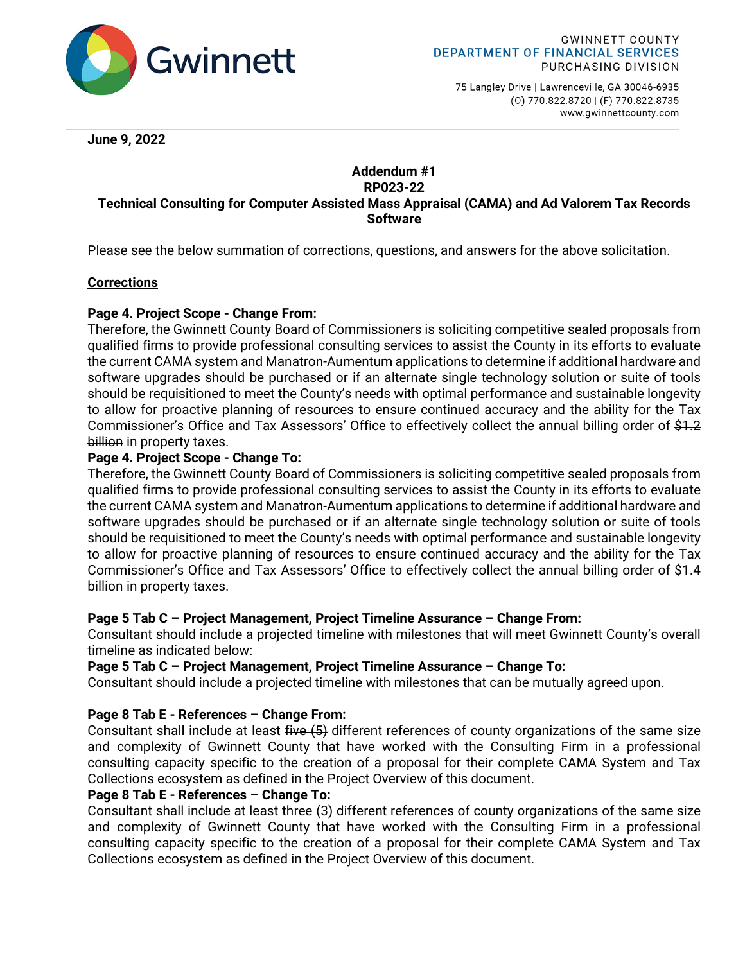

75 Langley Drive | Lawrenceville, GA 30046-6935 (0) 770.822.8720 | (F) 770.822.8735 www.gwinnettcounty.com

**June 9, 2022**

### **Addendum #1 RP023-22 Technical Consulting for Computer Assisted Mass Appraisal (CAMA) and Ad Valorem Tax Records Software**

Please see the below summation of corrections, questions, and answers for the above solicitation.

### **Corrections**

## **Page 4. Project Scope - Change From:**

Therefore, the Gwinnett County Board of Commissioners is soliciting competitive sealed proposals from qualified firms to provide professional consulting services to assist the County in its efforts to evaluate the current CAMA system and Manatron-Aumentum applications to determine if additional hardware and software upgrades should be purchased or if an alternate single technology solution or suite of tools should be requisitioned to meet the County's needs with optimal performance and sustainable longevity to allow for proactive planning of resources to ensure continued accuracy and the ability for the Tax Commissioner's Office and Tax Assessors' Office to effectively collect the annual billing order of \$1.2 billion in property taxes.

### **Page 4. Project Scope - Change To:**

Therefore, the Gwinnett County Board of Commissioners is soliciting competitive sealed proposals from qualified firms to provide professional consulting services to assist the County in its efforts to evaluate the current CAMA system and Manatron-Aumentum applications to determine if additional hardware and software upgrades should be purchased or if an alternate single technology solution or suite of tools should be requisitioned to meet the County's needs with optimal performance and sustainable longevity to allow for proactive planning of resources to ensure continued accuracy and the ability for the Tax Commissioner's Office and Tax Assessors' Office to effectively collect the annual billing order of \$1.4 billion in property taxes.

### **Page 5 Tab C – Project Management, Project Timeline Assurance – Change From:**

Consultant should include a projected timeline with milestones that will meet Gwinnett County's overall timeline as indicated below:

**Page 5 Tab C – Project Management, Project Timeline Assurance – Change To:**

Consultant should include a projected timeline with milestones that can be mutually agreed upon.

# **Page 8 Tab E - References – Change From:**

Consultant shall include at least five (5) different references of county organizations of the same size and complexity of Gwinnett County that have worked with the Consulting Firm in a professional consulting capacity specific to the creation of a proposal for their complete CAMA System and Tax Collections ecosystem as defined in the Project Overview of this document.

### **Page 8 Tab E - References – Change To:**

Consultant shall include at least three (3) different references of county organizations of the same size and complexity of Gwinnett County that have worked with the Consulting Firm in a professional consulting capacity specific to the creation of a proposal for their complete CAMA System and Tax Collections ecosystem as defined in the Project Overview of this document.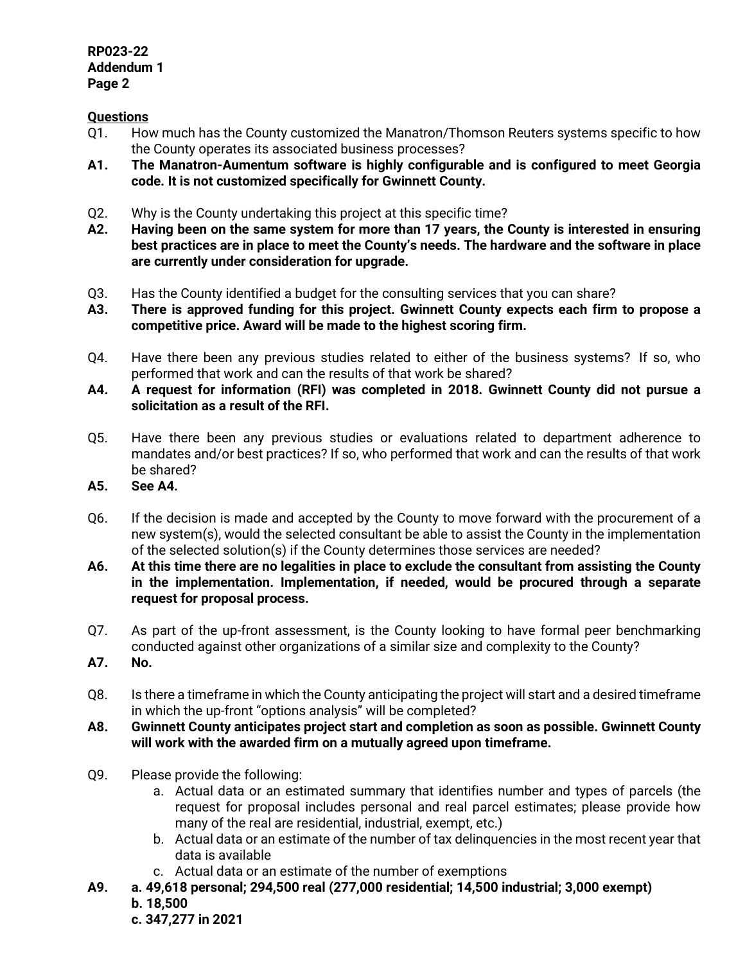#### **RP023-22 Addendum 1 Page 2**

# **Questions**

- Q1. How much has the County customized the Manatron/Thomson Reuters systems specific to how the County operates its associated business processes?
- **A1. The Manatron-Aumentum software is highly configurable and is configured to meet Georgia code. It is not customized specifically for Gwinnett County.**
- Q2. Why is the County undertaking this project at this specific time?
- **A2. Having been on the same system for more than 17 years, the County is interested in ensuring best practices are in place to meet the County's needs. The hardware and the software in place are currently under consideration for upgrade.**
- Q3. Has the County identified a budget for the consulting services that you can share?
- **A3. There is approved funding for this project. Gwinnett County expects each firm to propose a competitive price. Award will be made to the highest scoring firm.**
- Q4. Have there been any previous studies related to either of the business systems? If so, who performed that work and can the results of that work be shared?
- **A4. A request for information (RFI) was completed in 2018. Gwinnett County did not pursue a solicitation as a result of the RFI.**
- Q5. Have there been any previous studies or evaluations related to department adherence to mandates and/or best practices? If so, who performed that work and can the results of that work be shared?
- **A5. See A4.**
- Q6. If the decision is made and accepted by the County to move forward with the procurement of a new system(s), would the selected consultant be able to assist the County in the implementation of the selected solution(s) if the County determines those services are needed?
- **A6. At this time there are no legalities in place to exclude the consultant from assisting the County in the implementation. Implementation, if needed, would be procured through a separate request for proposal process.**
- Q7. As part of the up-front assessment, is the County looking to have formal peer benchmarking conducted against other organizations of a similar size and complexity to the County?
- **A7. No.**
- Q8. Is there a timeframe in which the County anticipating the project will start and a desired timeframe in which the up-front "options analysis" will be completed?
- **A8. Gwinnett County anticipates project start and completion as soon as possible. Gwinnett County will work with the awarded firm on a mutually agreed upon timeframe.**
- Q9. Please provide the following:
	- a. Actual data or an estimated summary that identifies number and types of parcels (the request for proposal includes personal and real parcel estimates; please provide how many of the real are residential, industrial, exempt, etc.)
	- b. Actual data or an estimate of the number of tax delinquencies in the most recent year that data is available
	- c. Actual data or an estimate of the number of exemptions
- **A9. a. 49,618 personal; 294,500 real (277,000 residential; 14,500 industrial; 3,000 exempt) b. 18,500**

 **c. 347,277 in 2021**